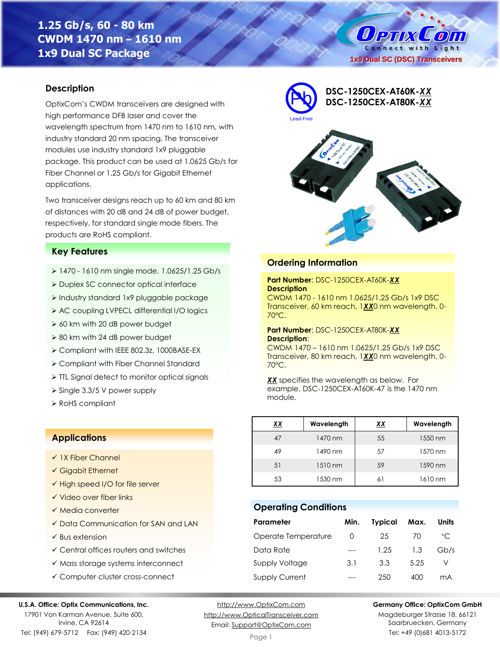# **1.25 Gb/s, 60 - 80 km CWDM 1470 nm – 1610 nm 1x9 Dual SC Package**

**OPTIX**  $\left( 0\right)$ Connect with Light **1x9 Dual SC (DSC) Transceivers**

### **Description**

OptixCom's CWDM transceivers are designed with high performance DFB laser and cover the wavelength spectrum from 1470 nm to 1610 nm, with industry standard 20 nm spacing. The transceiver modules use industry standard 1x9 pluggable package. This product can be used at 1.0625 Gb/s for Fiber Channel or 1.25 Gb/s for Gigabit Ethernet applications.

Two transceiver designs reach up to 60 km and 80 km of distances with 20 dB and 24 dB of power budget, respectively, for standard single mode fibers. The products are RoHS compliant.

#### **Key Features**

- ➢ 1470 1610 nm single mode, 1.0625/1.25 Gb/s
- ➢ Duplex SC connector optical interface
- ➢ Industry standard 1x9 pluggable package
- ➢ AC coupling LVPECL differential I/O logics
- ➢ 60 km with 20 dB power budget
- ➢ 80 km with 24 dB power budget
- ➢ Compliant with IEEE 802.3z, 1000BASE-EX
- ➢ Compliant with Fiber Channel Standard
- ➢ TTL Signal detect to monitor optical signals
- ➢ Single 3.3/5 V power supply
- ➢ RoHS compliant

### **Applications**

- ✓ 1X Fiber Channel
- ✓ Gigabit Ethernet
- ✓ High speed I/O for file server
- ✓ Video over fiber links
- ✓ Media converter
- ✓ Data Communication for SAN and LAN
- $\checkmark$  Bus extension
- ✓ Central offices routers and switches
- ✓ Mass storage systems interconnect
- ✓ Computer cluster cross-connect

#### **U.S.A. Office: Optix Communications, Inc.**

17901 Von Karman Avenue, Suite 600, Irvine, CA 92614 Tel: (949) 679-5712 Fax: (949) 420-2134

[http://www.OptixCom.com](http://www.optixcom.com/) [http://www.OpticalTransceiver.com](http://www.optoictech.com/) Email: [Support@OptixCom.com](mailto:Support@optoICtech.com)

Page 1



Magdeburger Strasse 18, 66121 Saarbruecken, Germany Tel: +49 (0)681 4013-5172

| <b>Ordering Information</b>                                                                             |
|---------------------------------------------------------------------------------------------------------|
|                                                                                                         |
| Part Number: DSC-1250CEX-AT60K-XX<br><b>Description</b><br>CWDM 1470 - 1610 nm 1.0625/1.25 Gb/s 1x9 DSC |

**DSC-1250CEX-AT60K-***XX* Pb **DSC-1250CEX-AT80K-***XX*

Transceiver, 60 km reach, 1*XX*0 nm wavelength, 0- 70°C.

#### **Part Number**: DSC-1250CEX-AT80K-*XX* **Description**:

Lead-Free

CWDM 1470 – 1610 nm 1.0625/1.25 Gb/s 1x9 DSC Transceiver, 80 km reach, 1*XX*0 nm wavelength, 0- 70°C.

*XX* specifies the wavelength as below. For example, DSC-1250CEX-AT60K-47 is the 1470 nm module.

| <u>xx</u> | Wavelength | <u>XX</u> | Wavelength |
|-----------|------------|-----------|------------|
| 47        | 1470 nm    | 55        | 1550 nm    |
| 49        | 1490 nm    | 57        | 1570 nm    |
| 51        | 1510 nm    | 59        | 1590 nm    |
| 53        | 1530 nm    | 61        | 1610 nm    |

### **Operating Conditions**

| Parameter             | Min.             | <b>Typical</b> | Max. | Units        |
|-----------------------|------------------|----------------|------|--------------|
| Operate Temperature   | $\left( \right)$ | 25             | 70   | $^{\circ}$ C |
| Data Rate             |                  | 1.25           | 1.3  | Gb/s         |
| <b>Supply Voltage</b> | 3.1              | 3.3            | 5.25 |              |
| <b>Supply Current</b> |                  | 250            | 400  | mA           |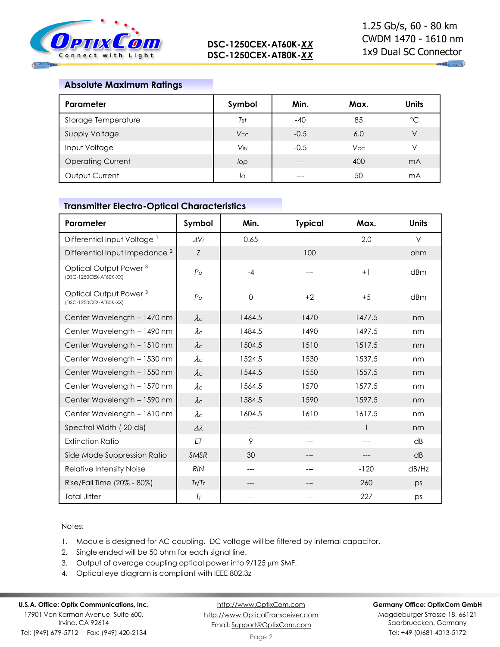

### **Absolute Maximum Ratings**

| Parameter                | Symbol     | Min.   | Max.       | <b>Units</b>   |
|--------------------------|------------|--------|------------|----------------|
| Storage Temperature      | Tst        | $-40$  | 85         | $^{\circ}C$    |
| Supply Voltage           | <b>Vcc</b> | $-0.5$ | 6.0        | V              |
| Input Voltage            | $V_{IN}$   | $-0.5$ | <b>Vcc</b> | V              |
| <b>Operating Current</b> | lop        | ---    | 400        | mA             |
| Output Current           | lo         | ---    | 50         | m <sub>A</sub> |

### **Transmitter Electro-Optical Characteristics**

| Parameter                                                   | Symbol          | Min.        | <b>Typical</b> | Max.   | <b>Units</b>    |
|-------------------------------------------------------------|-----------------|-------------|----------------|--------|-----------------|
| Differential Input Voltage <sup>1</sup>                     | $\Delta V$ i    | 0.65        | ---            | 2.0    | $\vee$          |
| Differential Input Impedance <sup>2</sup>                   | Z               |             | 100            |        | ohm             |
| Optical Output Power <sup>3</sup><br>(DSC-1250CEX-AT60K-XX) | $P_{\rm O}$     | $-4$        |                | $+1$   | dBm             |
| Optical Output Power <sup>3</sup><br>(DSC-1250CEX-AT80K-XX) | $P_{\rm O}$     | $\mathbf 0$ | $+2$           | $+5$   | dBm             |
| Center Wavelength - 1470 nm                                 | $\lambda c$     | 1464.5      | 1470           | 1477.5 | nm              |
| Center Wavelength - 1490 nm                                 | $\lambda c$     | 1484.5      | 1490           | 1497.5 | nm              |
| Center Wavelength - 1510 nm                                 | $\lambda c$     | 1504.5      | 1510           | 1517.5 | nm              |
| Center Wavelength - 1530 nm                                 | $\lambda c$     | 1524.5      | 1530           | 1537.5 | nm              |
| Center Wavelength - 1550 nm                                 | $\lambda c$     | 1544.5      | 1550           | 1557.5 | nm              |
| Center Wavelength - 1570 nm                                 | $\lambda c$     | 1564.5      | 1570           | 1577.5 | nm              |
| Center Wavelength - 1590 nm                                 | $\lambda c$     | 1584.5      | 1590           | 1597.5 | nm              |
| Center Wavelength - 1610 nm                                 | $\lambda c$     | 1604.5      | 1610           | 1617.5 | nm              |
| Spectral Width (-20 dB)                                     | $\Delta\lambda$ | $---$       |                | 1      | nm              |
| <b>Extinction Ratio</b>                                     | ET              | 9           |                |        | dB              |
| Side Mode Suppression Ratio                                 | <b>SMSR</b>     | 30          |                |        | $\overline{AB}$ |
| Relative Intensity Noise                                    | <b>RIN</b>      | ---         | ---            | $-120$ | dB/Hz           |
| Rise/Fall Time (20% - 80%)                                  | Tr/Tr           |             |                | 260    | ps              |
| <b>Total Jitter</b>                                         | Tj              | ---         |                | 227    | ps              |

### Notes:

- 1. Module is designed for AC coupling. DC voltage will be filtered by internal capacitor.
- 2. Single ended will be 50 ohm for each signal line.
- 3. Output of average coupling optical power into  $9/125 \mu m$  SMF.
- 4. Optical eye diagram is compliant with IEEE 802.3z

## **U.S.A. Office: Optix Communications, Inc.**

17901 Von Karman Avenue, Suite 600, Irvine, CA 92614 Tel: (949) 679-5712 Fax: (949) 420-2134

[http://www.OptixCom.com](http://www.optixcom.com/) [http://www.OpticalTransceiver.com](http://www.optoictech.com/) Email: [Support@OptixCom.com](mailto:Support@optoICtech.com)

#### **Germany Office: OptixCom GmbH**

Magdeburger Strasse 18, 66121 Saarbruecken, Germany Tel: +49 (0)681 4013-5172